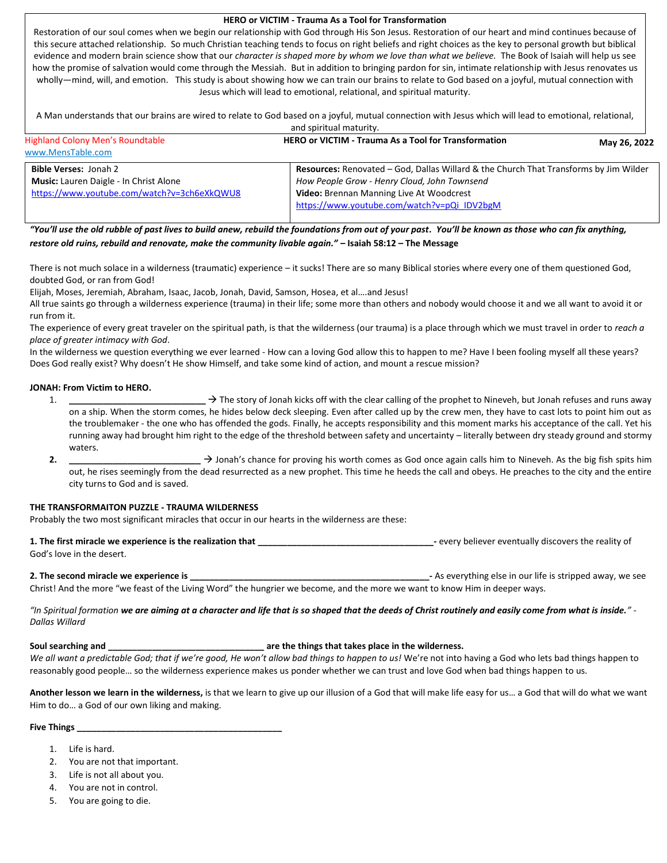# **HERO or VICTIM - Trauma As a Tool for Transformation**

Restoration of our soul comes when we begin our relationship with God through His Son Jesus. Restoration of our heart and mind continues because of this secure attached relationship. So much Christian teaching tends to focus on right beliefs and right choices as the key to personal growth but biblical evidence and modern brain science show that our *character is shaped more by whom we love than what we believe*. The Book of Isaiah will help us see how the promise of salvation would come through the Messiah. But in addition to bringing pardon for sin, intimate relationship with Jesus renovates us wholly—mind, will, and emotion. This study is about showing how we can train our brains to relate to God based on a joyful, mutual connection with Jesus which will lead to emotional, relational, and spiritual maturity.

A Man understands that our brains are wired to relate to God based on a joyful, mutual connection with Jesus which will lead to emotional, relational, and spiritual maturity.

| and spiritual maturity.                       |                                                                                              |              |
|-----------------------------------------------|----------------------------------------------------------------------------------------------|--------------|
| <b>Highland Colony Men's Roundtable</b>       | <b>HERO or VICTIM - Trauma As a Tool for Transformation</b>                                  | May 26, 2022 |
| www.MensTable.com                             |                                                                                              |              |
| <b>Bible Verses: Jonah 2</b>                  | <b>Resources:</b> Renovated – God, Dallas Willard & the Church That Transforms by Jim Wilder |              |
| <b>Music:</b> Lauren Daigle - In Christ Alone | How People Grow - Henry Cloud, John Townsend                                                 |              |
| https://www.youtube.com/watch?v=3ch6eXkQWU8   | Video: Brennan Manning Live At Woodcrest                                                     |              |
|                                               | https://www.youtube.com/watch?v=pQi_IDV2bgM                                                  |              |

*"You'll use the old rubble of past lives to build anew, rebuild the foundations from out of your past. You'll be known as those who can fix anything, restore old ruins, rebuild and renovate, make the community livable again."* **– Isaiah 58:12 – The Message**

There is not much solace in a wilderness (traumatic) experience – it sucks! There are so many Biblical stories where every one of them questioned God, doubted God, or ran from God!

Elijah, Moses, Jeremiah, Abraham, Isaac, Jacob, Jonah, David, Samson, Hosea, et al….and Jesus!

All true saints go through a wilderness experience (trauma) in their life; some more than others and nobody would choose it and we all want to avoid it or run from it.

The experience of every great traveler on the spiritual path, is that the wilderness (our trauma) is a place through which we must travel in order to *reach a place of greater intimacy with God*.

In the wilderness we question everything we ever learned - How can a loving God allow this to happen to me? Have I been fooling myself all these years? Does God really exist? Why doesn't He show Himself, and take some kind of action, and mount a rescue mission?

# **JONAH: From Victim to HERO.**

- 1. **→** The story of Jonah kicks off with the clear calling of the prophet to Nineveh, but Jonah refuses and runs away on a ship. When the storm comes, he hides below deck sleeping. Even after called up by the crew men, they have to cast lots to point him out as the troublemaker - the one who has offended the gods. Finally, he accepts responsibility and this moment marks his acceptance of the call. Yet his running away had brought him right to the edge of the threshold between safety and uncertainty – literally between dry steady ground and stormy waters.
- **2. \_\_\_\_\_\_\_\_\_\_\_\_\_\_\_\_\_\_\_\_\_\_\_\_\_\_\_** → Jonah's chance for proving his worth comes as God once again calls him to Nineveh. As the big fish spits him out, he rises seemingly from the dead resurrected as a new prophet. This time he heeds the call and obeys. He preaches to the city and the entire city turns to God and is saved.

# **THE TRANSFORMAITON PUZZLE - TRAUMA WILDERNESS**

Probably the two most significant miracles that occur in our hearts in the wilderness are these:

**1. The first miracle we experience is the realization that 1. The first miracle we experience is the realization that** God's love in the desert.

## **2. The second miracle we experience is experience** is **Later and the second miracle we experience** is **Later and the second miracle we experience** is **Later and the see** away, we see

Christ! And the more "we feast of the Living Word" the hungrier we become, and the more we want to know Him in deeper ways.

*"In Spiritual formation we are aiming at a character and life that is so shaped that the deeds of Christ routinely and easily come from what is inside." - Dallas Willard*

## **Soul searching and \_\_\_\_\_\_\_\_\_\_\_\_\_\_\_\_\_\_\_\_\_\_\_\_\_\_\_\_\_\_\_\_ are the things that takes place in the wilderness.**

We all want a predictable God; that if we're good, He won't allow bad things to happen to us! We're not into having a God who lets bad things happen to reasonably good people… so the wilderness experience makes us ponder whether we can trust and love God when bad things happen to us.

**Another lesson we learn in the wilderness,** is that we learn to give up our illusion of a God that will make life easy for us… a God that will do what we want Him to do… a God of our own liking and making.

### **Five Things \_\_\_\_\_\_\_\_\_\_\_\_\_\_\_\_\_\_\_\_\_\_\_\_\_\_\_\_\_\_\_\_\_\_\_\_\_\_\_\_\_\_**

- 1. Life is hard.
- 2. You are not that important.
- 3. Life is not all about you.
- 4. You are not in control.
- 5. You are going to die.